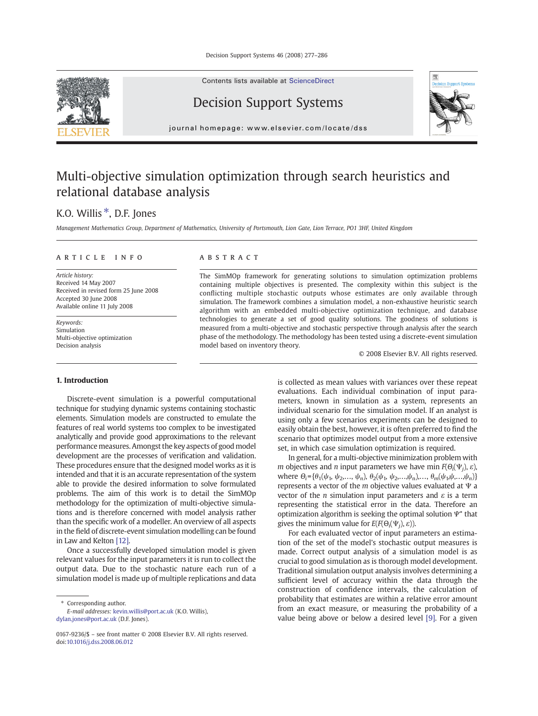Decision Support Systems 46 (2008) 277–286

Contents lists available at [ScienceDirect](http://www.sciencedirect.com/science/journal/01679236)



Decision Support Systems



journal homepage: www.elsevier.com/locate/dss

## Multi-objective simulation optimization through search heuristics and relational database analysis

### K.O. Willis<sup>\*</sup>, D.F. Jones

Management Mathematics Group, Department of Mathematics, University of Portsmouth, Lion Gate, Lion Terrace, PO1 3HF, United Kingdom

#### article info abstract

Article history: Received 14 May 2007 Received in revised form 25 June 2008 Accepted 30 June 2008 Available online 11 July 2008

Keywords: Simulation Multi-objective optimization Decision analysis

### 1. Introduction

Discrete-event simulation is a powerful computational technique for studying dynamic systems containing stochastic elements. Simulation models are constructed to emulate the features of real world systems too complex to be investigated analytically and provide good approximations to the relevant performance measures. Amongst the key aspects of good model development are the processes of verification and validation. These procedures ensure that the designed model works as it is intended and that it is an accurate representation of the system able to provide the desired information to solve formulated problems. The aim of this work is to detail the SimMOp methodology for the optimization of multi-objective simulations and is therefore concerned with model analysis rather than the specific work of a modeller. An overview of all aspects in the field of discrete-event simulation modelling can be found in Law and Kelton [\[12\]](#page--1-0).

Once a successfully developed simulation model is given relevant values for the input parameters it is run to collect the output data. Due to the stochastic nature each run of a simulation model is made up of multiple replications and data

⁎ Corresponding author.

E-mail addresses: [kevin.willis@port.ac.uk](mailto:kevin.willis@port.ac.uk) (K.O. Willis), [dylan.jones@port.ac.uk](mailto:dylan.jones@port.ac.uk) (D.F. Jones).

The SimMOp framework for generating solutions to simulation optimization problems containing multiple objectives is presented. The complexity within this subject is the conflicting multiple stochastic outputs whose estimates are only available through simulation. The framework combines a simulation model, a non-exhaustive heuristic search algorithm with an embedded multi-objective optimization technique, and database technologies to generate a set of good quality solutions. The goodness of solutions is measured from a multi-objective and stochastic perspective through analysis after the search phase of the methodology. The methodology has been tested using a discrete-event simulation model based on inventory theory.

© 2008 Elsevier B.V. All rights reserved.

is collected as mean values with variances over these repeat evaluations. Each individual combination of input parameters, known in simulation as a system, represents an individual scenario for the simulation model. If an analyst is using only a few scenarios experiments can be designed to easily obtain the best, however, it is often preferred to find the scenario that optimizes model output from a more extensive set, in which case simulation optimization is required.

In general, for a multi-objective minimization problem with *m* objectives and *n* input parameters we have min  $F(\Theta_i(\Psi_i), \varepsilon)$ , where  $\Theta_i = {\theta_1(\psi_1, \psi_2, ..., \psi_n), \theta_2(\psi_1, \psi_2, ..., \psi_n), ..., \theta_m(\psi_1, \psi_1, ..., \psi_n)}$ represents a vector of the  $m$  objective values evaluated at  $\Psi$  a vector of the *n* simulation input parameters and  $\varepsilon$  is a term representing the statistical error in the data. Therefore an optimization algorithm is seeking the optimal solution  $\Psi^*$  that gives the minimum value for  $E(F(\Theta_i(\Psi_i), \varepsilon))$ .

For each evaluated vector of input parameters an estimation of the set of the model's stochastic output measures is made. Correct output analysis of a simulation model is as crucial to good simulation as is thorough model development. Traditional simulation output analysis involves determining a sufficient level of accuracy within the data through the construction of confidence intervals, the calculation of probability that estimates are within a relative error amount from an exact measure, or measuring the probability of a value being above or below a desired level [\[9\].](#page--1-0) For a given

<sup>0167-9236/\$</sup> – see front matter © 2008 Elsevier B.V. All rights reserved. doi:[10.1016/j.dss.2008.06.012](http://dx.doi.org/10.1016/j.dss.2008.06.012)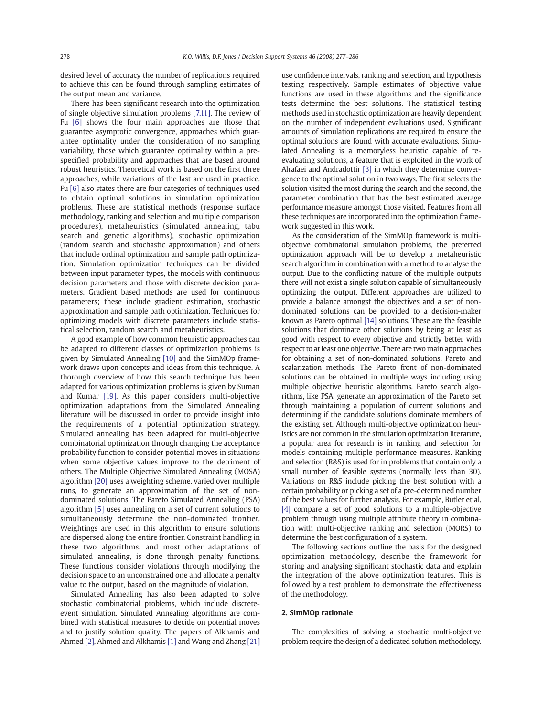desired level of accuracy the number of replications required to achieve this can be found through sampling estimates of the output mean and variance.

There has been significant research into the optimization of single objective simulation problems [\[7,11\]](#page--1-0). The review of Fu [\[6\]](#page--1-0) shows the four main approaches are those that guarantee asymptotic convergence, approaches which guarantee optimality under the consideration of no sampling variability, those which guarantee optimality within a prespecified probability and approaches that are based around robust heuristics. Theoretical work is based on the first three approaches, while variations of the last are used in practice. Fu [\[6\]](#page--1-0) also states there are four categories of techniques used to obtain optimal solutions in simulation optimization problems. These are statistical methods (response surface methodology, ranking and selection and multiple comparison procedures), metaheuristics (simulated annealing, tabu search and genetic algorithms), stochastic optimization (random search and stochastic approximation) and others that include ordinal optimization and sample path optimization. Simulation optimization techniques can be divided between input parameter types, the models with continuous decision parameters and those with discrete decision parameters. Gradient based methods are used for continuous parameters; these include gradient estimation, stochastic approximation and sample path optimization. Techniques for optimizing models with discrete parameters include statistical selection, random search and metaheuristics.

A good example of how common heuristic approaches can be adapted to different classes of optimization problems is given by Simulated Annealing [\[10\]](#page--1-0) and the SimMOp framework draws upon concepts and ideas from this technique. A thorough overview of how this search technique has been adapted for various optimization problems is given by Suman and Kumar [\[19\].](#page--1-0) As this paper considers multi-objective optimization adaptations from the Simulated Annealing literature will be discussed in order to provide insight into the requirements of a potential optimization strategy. Simulated annealing has been adapted for multi-objective combinatorial optimization through changing the acceptance probability function to consider potential moves in situations when some objective values improve to the detriment of others. The Multiple Objective Simulated Annealing (MOSA) algorithm [\[20\]](#page--1-0) uses a weighting scheme, varied over multiple runs, to generate an approximation of the set of nondominated solutions. The Pareto Simulated Annealing (PSA) algorithm [\[5\]](#page--1-0) uses annealing on a set of current solutions to simultaneously determine the non-dominated frontier. Weightings are used in this algorithm to ensure solutions are dispersed along the entire frontier. Constraint handling in these two algorithms, and most other adaptations of simulated annealing, is done through penalty functions. These functions consider violations through modifying the decision space to an unconstrained one and allocate a penalty value to the output, based on the magnitude of violation.

Simulated Annealing has also been adapted to solve stochastic combinatorial problems, which include discreteevent simulation. Simulated Annealing algorithms are combined with statistical measures to decide on potential moves and to justify solution quality. The papers of Alkhamis and Ahmed [\[2\]](#page--1-0), Ahmed and Alkhamis [\[1\]](#page--1-0) and Wang and Zhang [\[21\]](#page--1-0) use confidence intervals, ranking and selection, and hypothesis testing respectively. Sample estimates of objective value functions are used in these algorithms and the significance tests determine the best solutions. The statistical testing methods used in stochastic optimization are heavily dependent on the number of independent evaluations used. Significant amounts of simulation replications are required to ensure the optimal solutions are found with accurate evaluations. Simulated Annealing is a memoryless heuristic capable of reevaluating solutions, a feature that is exploited in the work of Alrafaei and Andradottir [\[3\]](#page--1-0) in which they determine convergence to the optimal solution in two ways. The first selects the solution visited the most during the search and the second, the parameter combination that has the best estimated average performance measure amongst those visited. Features from all these techniques are incorporated into the optimization framework suggested in this work.

As the consideration of the SimMOp framework is multiobjective combinatorial simulation problems, the preferred optimization approach will be to develop a metaheuristic search algorithm in combination with a method to analyse the output. Due to the conflicting nature of the multiple outputs there will not exist a single solution capable of simultaneously optimizing the output. Different approaches are utilized to provide a balance amongst the objectives and a set of nondominated solutions can be provided to a decision-maker known as Pareto optimal [\[14\]](#page--1-0) solutions. These are the feasible solutions that dominate other solutions by being at least as good with respect to every objective and strictly better with respect to at least one objective. There are two main approaches for obtaining a set of non-dominated solutions, Pareto and scalarization methods. The Pareto front of non-dominated solutions can be obtained in multiple ways including using multiple objective heuristic algorithms. Pareto search algorithms, like PSA, generate an approximation of the Pareto set through maintaining a population of current solutions and determining if the candidate solutions dominate members of the existing set. Although multi-objective optimization heuristics are not common in the simulation optimization literature, a popular area for research is in ranking and selection for models containing multiple performance measures. Ranking and selection (R&S) is used for in problems that contain only a small number of feasible systems (normally less than 30). Variations on R&S include picking the best solution with a certain probability or picking a set of a pre-determined number of the best values for further analysis. For example, Butler et al. [\[4\]](#page--1-0) compare a set of good solutions to a multiple-objective problem through using multiple attribute theory in combination with multi-objective ranking and selection (MORS) to determine the best configuration of a system.

The following sections outline the basis for the designed optimization methodology, describe the framework for storing and analysing significant stochastic data and explain the integration of the above optimization features. This is followed by a test problem to demonstrate the effectiveness of the methodology.

#### 2. SimMOp rationale

The complexities of solving a stochastic multi-objective problem require the design of a dedicated solution methodology.